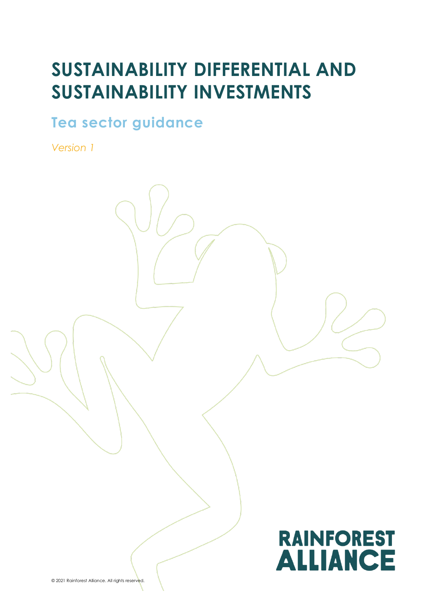# **SUSTAINABILITY DIFFERENTIAL AND SUSTAINABILITY INVESTMENTS**

**Tea sector guidance** 

*Version 1*



© 2021 Rainforest Alliance. All rights reserved.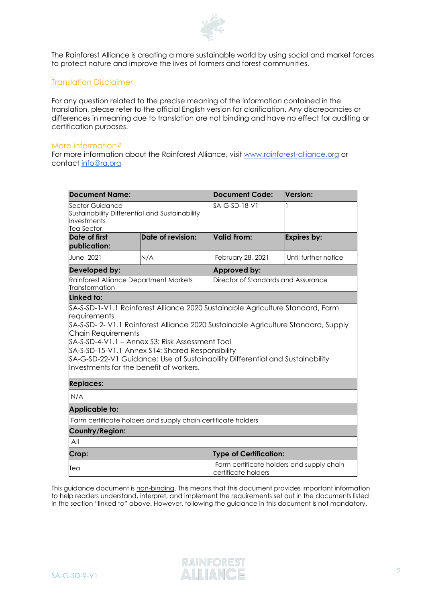

The Rainforest Alliance is creating a more sustainable world by using social and market forces to protect nature and improve the lives of farmers and forest communities.

### Translation Disclaimer

For any question related to the precise meaning of the information contained in the translation, please refer to the official English version for clarification. Any discrepancies or differences in meaning due to translation are not binding and have no effect for auditing or certification purposes.

#### More information?

For more information about the Rainforest Alliance, visit [www.rainforest-alliance.org](http://www.rainforest-alliance.org/) or contact [info@ra.org](mailto:info@ra.org)

| <b>Document Name:</b>                                                                                                                                                                                                                                                                                                                        |                   | Document Code:                                                   | Version:             |  |  |
|----------------------------------------------------------------------------------------------------------------------------------------------------------------------------------------------------------------------------------------------------------------------------------------------------------------------------------------------|-------------------|------------------------------------------------------------------|----------------------|--|--|
| Sector Guidance<br>Sustainability Differential and Sustainability<br>Investments<br><b>Tea Sector</b>                                                                                                                                                                                                                                        |                   | SA-G-SD-18-V1                                                    |                      |  |  |
| Date of first<br>publication:                                                                                                                                                                                                                                                                                                                | Date of revision: | Valid From:                                                      | <b>Expires by:</b>   |  |  |
| June, 2021                                                                                                                                                                                                                                                                                                                                   | N/A               | February 28, 2021                                                | Until further notice |  |  |
| Developed by:                                                                                                                                                                                                                                                                                                                                |                   | <b>Approved by:</b>                                              |                      |  |  |
| Rainforest Alliance Department Markets<br>Transformation                                                                                                                                                                                                                                                                                     |                   | Director of Standards and Assurance                              |                      |  |  |
| Linked to:                                                                                                                                                                                                                                                                                                                                   |                   |                                                                  |                      |  |  |
| \$A-S-SD-2- V1.1 Rainforest Alliance 2020 Sustainable Agriculture Standard, Supply<br>Chain Requirements<br>SA-S-SD-4-V1.1 – Annex S3: Risk Assessment Tool<br>SA-S-SD-15-V1.1 Annex S14: Shared Responsibility<br>\$A-G-SD-22-V1 Guidance: Use of Sustainability Differential and Sustainability<br>Investments for the benefit of workers. |                   |                                                                  |                      |  |  |
| <b>Replaces:</b>                                                                                                                                                                                                                                                                                                                             |                   |                                                                  |                      |  |  |
| N/A                                                                                                                                                                                                                                                                                                                                          |                   |                                                                  |                      |  |  |
| <b>Applicable to:</b>                                                                                                                                                                                                                                                                                                                        |                   |                                                                  |                      |  |  |
| Farm certificate holders and supply chain certificate holders                                                                                                                                                                                                                                                                                |                   |                                                                  |                      |  |  |
| Country/Region:                                                                                                                                                                                                                                                                                                                              |                   |                                                                  |                      |  |  |
| All                                                                                                                                                                                                                                                                                                                                          |                   |                                                                  |                      |  |  |
| Crop:                                                                                                                                                                                                                                                                                                                                        |                   | <b>Type of Certification:</b>                                    |                      |  |  |
| Tea                                                                                                                                                                                                                                                                                                                                          |                   | Farm certificate holders and supply chain<br>certificate holders |                      |  |  |

This guidance document is non-binding. This means that this document provides important information to help readers understand, interpret, and implement the requirements set out in the documents listed in the section "linked to" above. However, following the guidance in this document is not mandatory.

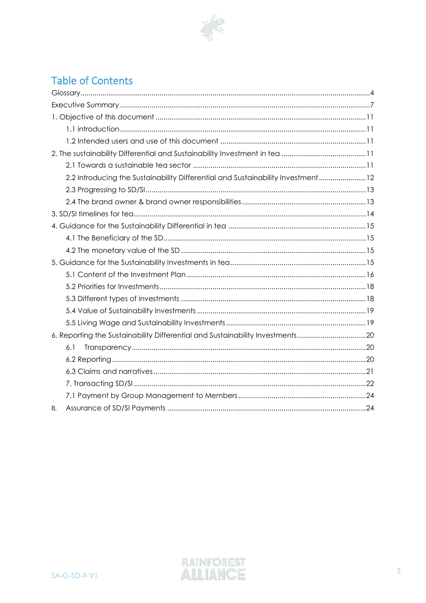

# **Table of Contents**

| 2.2 Introducing the Sustainability Differential and Sustainability Investment12 |  |
|---------------------------------------------------------------------------------|--|
|                                                                                 |  |
|                                                                                 |  |
|                                                                                 |  |
|                                                                                 |  |
|                                                                                 |  |
|                                                                                 |  |
|                                                                                 |  |
|                                                                                 |  |
|                                                                                 |  |
|                                                                                 |  |
|                                                                                 |  |
|                                                                                 |  |
| 6. Reporting the Sustainability Differential and Sustainability Investments20   |  |
| 6.1                                                                             |  |
|                                                                                 |  |
|                                                                                 |  |
|                                                                                 |  |
|                                                                                 |  |
| 8.                                                                              |  |

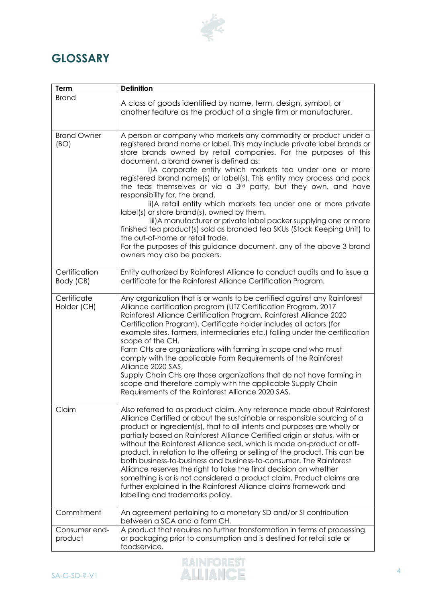

# <span id="page-3-0"></span>**GLOSSARY**

| Term                       | <b>Definition</b>                                                                                                                                                                                                                                                                                                                                                                                                                                                                                                                                                                                                                                                                                                                                                                                                                                                                                                |  |  |  |
|----------------------------|------------------------------------------------------------------------------------------------------------------------------------------------------------------------------------------------------------------------------------------------------------------------------------------------------------------------------------------------------------------------------------------------------------------------------------------------------------------------------------------------------------------------------------------------------------------------------------------------------------------------------------------------------------------------------------------------------------------------------------------------------------------------------------------------------------------------------------------------------------------------------------------------------------------|--|--|--|
| <b>Brand</b>               | A class of goods identified by name, term, design, symbol, or<br>another feature as the product of a single firm or manufacturer.                                                                                                                                                                                                                                                                                                                                                                                                                                                                                                                                                                                                                                                                                                                                                                                |  |  |  |
| <b>Brand Owner</b><br>(BO) | A person or company who markets any commodity or product under a<br>registered brand name or label. This may include private label brands or<br>store brands owned by retail companies. For the purposes of this<br>document, a brand owner is defined as:<br>i)A corporate entity which markets tea under one or more<br>registered brand name(s) or label(s). This entity may process and pack<br>the teas themselves or via a 3rd party, but they own, and have<br>responsibility for, the brand.<br>ii)A retail entity which markets tea under one or more private<br>label(s) or store brand(s), owned by them.<br>iii) A manufacturer or private label packer supplying one or more<br>finished tea product(s) sold as branded tea SKUs (Stock Keeping Unit) to<br>the out-of-home or retail trade.<br>For the purposes of this guidance document, any of the above 3 brand<br>owners may also be packers. |  |  |  |
| Certification<br>Body (CB) | Entity authorized by Rainforest Alliance to conduct audits and to issue a<br>certificate for the Rainforest Alliance Certification Program.                                                                                                                                                                                                                                                                                                                                                                                                                                                                                                                                                                                                                                                                                                                                                                      |  |  |  |
| Certificate<br>Holder (CH) | Any organization that is or wants to be certified against any Rainforest<br>Alliance certification program (UTZ Certification Program, 2017<br>Rainforest Alliance Certification Program, Rainforest Alliance 2020<br>Certification Program). Certificate holder includes all actors (for<br>example sites, farmers, intermediaries etc.) falling under the certification<br>scope of the CH.<br>Farm CHs are organizations with farming in scope and who must<br>comply with the applicable Farm Requirements of the Rainforest<br>Alliance 2020 SAS,<br>Supply Chain CHs are those organizations that do not have farming in<br>scope and therefore comply with the applicable Supply Chain<br>Requirements of the Rainforest Alliance 2020 SAS.                                                                                                                                                               |  |  |  |
| Claim                      | Also referred to as product claim. Any reference made about Rainforest<br>Alliance Certified or about the sustainable or responsible sourcing of a<br>product or ingredient(s), that to all intents and purposes are wholly or<br>partially based on Rainforest Alliance Certified origin or status, with or<br>without the Rainforest Alliance seal, which is made on-product or off-<br>product, in relation to the offering or selling of the product. This can be<br>both business-to-business and business-to-consumer. The Rainforest<br>Alliance reserves the right to take the final decision on whether<br>something is or is not considered a product claim. Product claims are<br>further explained in the Rainforest Alliance claims framework and<br>labelling and trademarks policy.                                                                                                               |  |  |  |
| Commitment                 | An agreement pertaining to a monetary SD and/or SI contribution<br>between a SCA and a farm CH.                                                                                                                                                                                                                                                                                                                                                                                                                                                                                                                                                                                                                                                                                                                                                                                                                  |  |  |  |
| Consumer end-<br>product   | A product that requires no further transformation in terms of processing<br>or packaging prior to consumption and is destined for retail sale or<br>foodservice.                                                                                                                                                                                                                                                                                                                                                                                                                                                                                                                                                                                                                                                                                                                                                 |  |  |  |

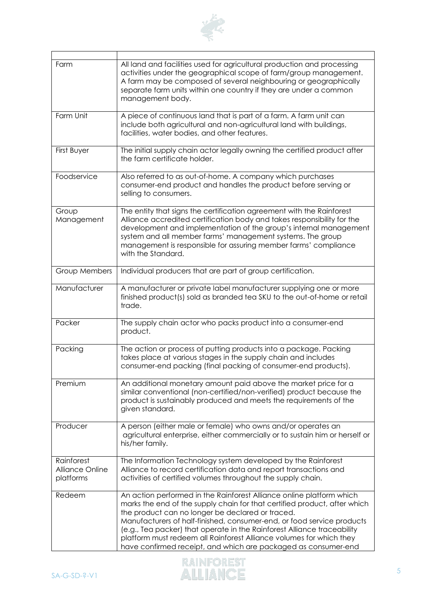

| Farm                                 | All land and facilities used for agricultural production and processing<br>activities under the geographical scope of farm/group management.<br>A farm may be composed of several neighbouring or geographically<br>separate farm units within one country if they are under a common<br>management body.                                                                                                                                                                                           |  |
|--------------------------------------|-----------------------------------------------------------------------------------------------------------------------------------------------------------------------------------------------------------------------------------------------------------------------------------------------------------------------------------------------------------------------------------------------------------------------------------------------------------------------------------------------------|--|
| Farm Unit                            | A piece of continuous land that is part of a farm. A farm unit can<br>include both agricultural and non-agricultural land with buildings,<br>facilities, water bodies, and other features.                                                                                                                                                                                                                                                                                                          |  |
| First Buyer                          | The initial supply chain actor legally owning the certified product after<br>the farm certificate holder.                                                                                                                                                                                                                                                                                                                                                                                           |  |
| Foodservice                          | Also referred to as out-of-home. A company which purchases<br>consumer-end product and handles the product before serving or<br>selling to consumers.                                                                                                                                                                                                                                                                                                                                               |  |
| Group<br>Management                  | The entity that signs the certification agreement with the Rainforest<br>Alliance accredited certification body and takes responsibility for the<br>development and implementation of the group's internal management<br>system and all member farms' management systems. The group<br>management is responsible for assuring member farms' compliance<br>with the Standard.                                                                                                                        |  |
| <b>Group Members</b>                 | Individual producers that are part of group certification.                                                                                                                                                                                                                                                                                                                                                                                                                                          |  |
| Manufacturer                         | A manufacturer or private label manufacturer supplying one or more<br>finished product(s) sold as branded tea SKU to the out-of-home or retail<br>trade.                                                                                                                                                                                                                                                                                                                                            |  |
| Packer                               | The supply chain actor who packs product into a consumer-end<br>product.                                                                                                                                                                                                                                                                                                                                                                                                                            |  |
| Packing                              | The action or process of putting products into a package. Packing<br>takes place at various stages in the supply chain and includes<br>consumer-end packing (final packing of consumer-end products).                                                                                                                                                                                                                                                                                               |  |
| Premium                              | An additional monetary amount paid above the market price for a<br>similar conventional (non-certified/non-verified) product because the<br>product is sustainably produced and meets the requirements of the<br>given standard.                                                                                                                                                                                                                                                                    |  |
| Producer                             | A person (either male or female) who owns and/or operates an<br>agricultural enterprise, either commercially or to sustain him or herself or<br>his/her family.                                                                                                                                                                                                                                                                                                                                     |  |
| Rainforest<br><b>Alliance Online</b> | The Information Technology system developed by the Rainforest                                                                                                                                                                                                                                                                                                                                                                                                                                       |  |
| platforms                            | Alliance to record certification data and report transactions and<br>activities of certified volumes throughout the supply chain.                                                                                                                                                                                                                                                                                                                                                                   |  |
| Redeem                               | An action performed in the Rainforest Alliance online platform which<br>marks the end of the supply chain for that certified product, after which<br>the product can no longer be declared or traced.<br>Manufacturers of half-finished, consumer-end, or food service products<br>(e.g., Tea packer) that operate in the Rainforest Alliance traceability<br>platform must redeem all Rainforest Alliance volumes for which they<br>have confirmed receipt, and which are packaged as consumer-end |  |

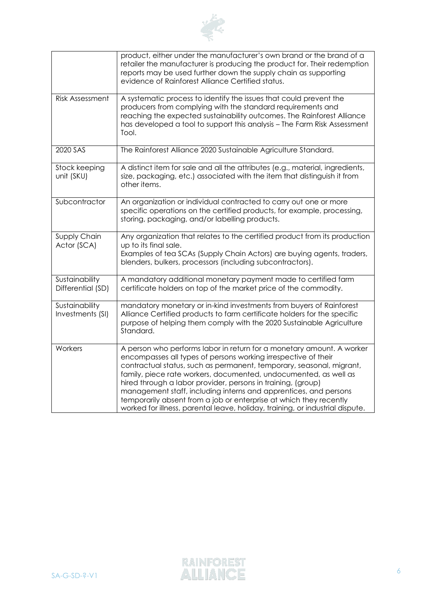

|                                     | product, either under the manufacturer's own brand or the brand of a<br>retailer the manufacturer is producing the product for. Their redemption<br>reports may be used further down the supply chain as supporting<br>evidence of Rainforest Alliance Certified status.                                                                                                                                                                                                                                                                                                       |
|-------------------------------------|--------------------------------------------------------------------------------------------------------------------------------------------------------------------------------------------------------------------------------------------------------------------------------------------------------------------------------------------------------------------------------------------------------------------------------------------------------------------------------------------------------------------------------------------------------------------------------|
| <b>Risk Assessment</b>              | A systematic process to identify the issues that could prevent the<br>producers from complying with the standard requirements and<br>reaching the expected sustainability outcomes. The Rainforest Alliance<br>has developed a tool to support this analysis - The Farm Risk Assessment<br>Tool.                                                                                                                                                                                                                                                                               |
| 2020 SAS                            | The Rainforest Alliance 2020 Sustainable Agriculture Standard.                                                                                                                                                                                                                                                                                                                                                                                                                                                                                                                 |
| Stock keeping<br>unit (SKU)         | A distinct item for sale and all the attributes (e.g., material, ingredients,<br>size, packaging, etc.) associated with the item that distinguish it from<br>other items.                                                                                                                                                                                                                                                                                                                                                                                                      |
| Subcontractor                       | An organization or individual contracted to carry out one or more<br>specific operations on the certified products, for example, processing,<br>storing, packaging, and/or labelling products.                                                                                                                                                                                                                                                                                                                                                                                 |
| Supply Chain<br>Actor (SCA)         | Any organization that relates to the certified product from its production<br>up to its final sale.<br>Examples of tea SCAs (Supply Chain Actors) are buying agents, traders,<br>blenders, bulkers, processors (including subcontractors).                                                                                                                                                                                                                                                                                                                                     |
| Sustainability<br>Differential (SD) | A mandatory additional monetary payment made to certified farm<br>certificate holders on top of the market price of the commodity.                                                                                                                                                                                                                                                                                                                                                                                                                                             |
| Sustainability<br>Investments (SI)  | mandatory monetary or in-kind investments from buyers of Rainforest<br>Alliance Certified products to farm certificate holders for the specific<br>purpose of helping them comply with the 2020 Sustainable Agriculture<br>Standard.                                                                                                                                                                                                                                                                                                                                           |
| Workers                             | A person who performs labor in return for a monetary amount. A worker<br>encompasses all types of persons working irrespective of their<br>contractual status, such as permanent, temporary, seasonal, migrant,<br>family, piece rate workers, documented, undocumented, as well as<br>hired through a labor provider, persons in training, (group)<br>management staff, including interns and apprentices, and persons<br>temporarily absent from a job or enterprise at which they recently<br>worked for illness, parental leave, holiday, training, or industrial dispute. |

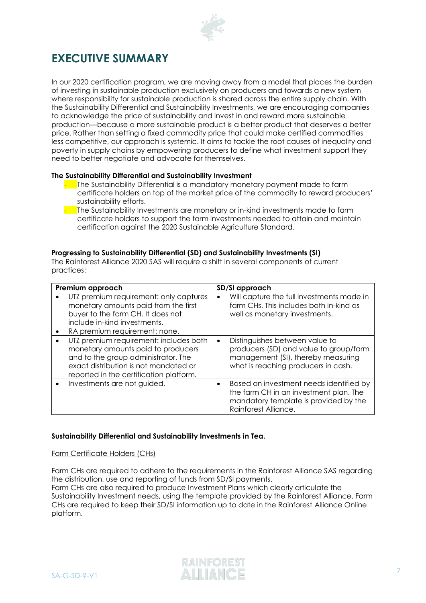

# <span id="page-6-0"></span>**EXECUTIVE SUMMARY**

In our 2020 certification program, we are moving away from a model that places the burden of investing in sustainable production exclusively on producers and towards a new system where responsibility for sustainable production is shared across the entire supply chain. With the Sustainability Differential and Sustainability Investments, we are encouraging companies to acknowledge the price of sustainability and invest in and reward more sustainable production—because a more sustainable product is a better product that deserves a better price. Rather than setting a fixed commodity price that could make certified commodities less competitive, our approach is systemic. It aims to tackle the root causes of inequality and poverty in supply chains by empowering producers to define what investment support they need to better negotiate and advocate for themselves.

#### **The Sustainability Differential and Sustainability Investment**

- The Sustainability Differential is a mandatory monetary payment made to farm certificate holders on top of the market price of the commodity to reward producers' sustainability efforts.
- The Sustainability Investments are monetary or in-kind investments made to farm certificate holders to support the farm investments needed to attain and maintain certification against the 2020 Sustainable Agriculture Standard.

#### **Progressing to Sustainability Differential (SD) and Sustainability Investments (SI)**

The Rainforest Alliance 2020 SAS will require a shift in several components of current practices:

| Premium approach                                                                                                                                                                                        | SD/SI approach |                                                                                                                                                       |
|---------------------------------------------------------------------------------------------------------------------------------------------------------------------------------------------------------|----------------|-------------------------------------------------------------------------------------------------------------------------------------------------------|
| UTZ premium requirement: only captures<br>monetary amounts paid from the first<br>buyer to the farm CH. It does not<br>include in-kind investments.<br>RA premium requirement: none.                    | ٠              | Will capture the full investments made in<br>farm CHs. This includes both in-kind as<br>well as monetary investments.                                 |
| UTZ premium requirement: includes both<br>monetary amounts paid to producers<br>and to the group administrator. The<br>exact distribution is not mandated or<br>reported in the certification platform. | $\bullet$      | Distinguishes between value to<br>producers (SD) and value to group/farm<br>management (SI), thereby measuring<br>what is reaching producers in cash. |
| Investments are not guided.                                                                                                                                                                             | ٠              | Based on investment needs identified by<br>the farm CH in an investment plan. The<br>mandatory template is provided by the<br>Rainforest Alliance.    |

#### **Sustainability Differential and Sustainability Investments in Tea.**

#### Farm Certificate Holders (CHs)

Farm CHs are required to adhere to the requirements in the Rainforest Alliance SAS regarding the distribution, use and reporting of funds from SD/SI payments.

Farm CHs are also required to produce Investment Plans which clearly articulate the Sustainability Investment needs, using the template provided by the Rainforest Alliance. Farm CHs are required to keep their SD/SI information up to date in the Rainforest Alliance Online platform.

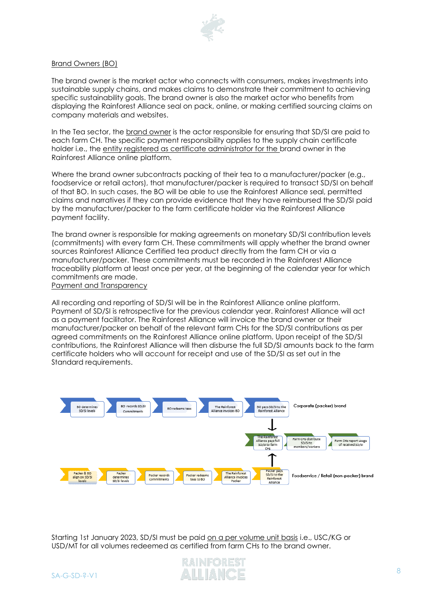

#### Brand Owners (BO)

The brand owner is the market actor who connects with consumers, makes investments into sustainable supply chains, and makes claims to demonstrate their commitment to achieving specific sustainability goals. The brand owner is also the market actor who benefits from displaying the Rainforest Alliance seal on pack, online, or making certified sourcing claims on company materials and websites.

In the Tea sector, the brand owner is the actor responsible for ensuring that SD/SI are paid to each farm CH. The specific payment responsibility applies to the supply chain certificate holder i.e., the entity registered as certificate administrator for the brand owner in the Rainforest Alliance online platform.

Where the brand owner subcontracts packing of their tea to a manufacturer/packer (e.g., foodservice or retail actors), that manufacturer/packer is required to transact SD/SI on behalf of that BO. In such cases, the BO will be able to use the Rainforest Alliance seal, permitted claims and narratives if they can provide evidence that they have reimbursed the SD/SI paid by the manufacturer/packer to the farm certificate holder via the Rainforest Alliance payment facility.

The brand owner is responsible for making agreements on monetary SD/SI contribution levels (commitments) with every farm CH. These commitments will apply whether the brand owner sources Rainforest Alliance Certified tea product directly from the farm CH or via a manufacturer/packer. These commitments must be recorded in the Rainforest Alliance traceability platform at least once per year, at the beginning of the calendar year for which commitments are made.

Payment and Transparency

All recording and reporting of SD/SI will be in the Rainforest Alliance online platform. Payment of SD/SI is retrospective for the previous calendar year. Rainforest Alliance will act as a payment facilitator. The Rainforest Alliance will invoice the brand owner or their manufacturer/packer on behalf of the relevant farm CHs for the SD/SI contributions as per agreed commitments on the Rainforest Alliance online platform. Upon receipt of the SD/SI contributions, the Rainforest Alliance will then disburse the full SD/SI amounts back to the farm certificate holders who will account for receipt and use of the SD/SI as set out in the Standard requirements.



Starting 1st January 2023, SD/SI must be paid on a per volume unit basis i.e., USC/KG or USD/MT for all volumes redeemed as certified from farm CHs to the brand owner.

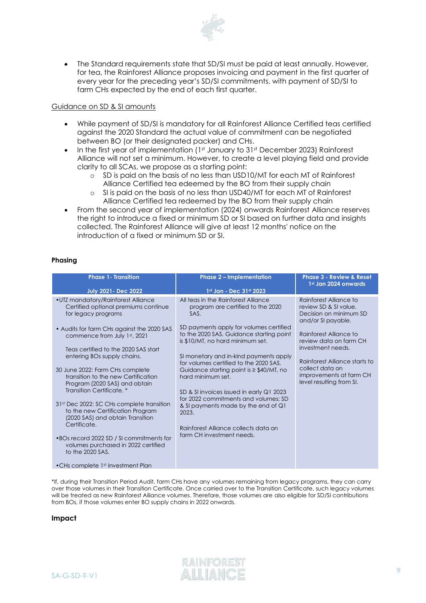

• The Standard requirements state that SD/SI must be paid at least annually. However, for tea, the Rainforest Alliance proposes invoicing and payment in the first quarter of every year for the preceding year's SD/SI commitments, with payment of SD/SI to farm CHs expected by the end of each first quarter.

#### Guidance on SD & SI amounts

- While payment of SD/SI is mandatory for all Rainforest Alliance Certified teas certified against the 2020 Standard the actual value of commitment can be negotiated between BO (or their designated packer) and CHs.
- In the first year of implementation (1st January to 31st December 2023) Rainforest Alliance will not set a minimum. However, to create a level playing field and provide clarity to all SCAs, we propose as a starting point:
	- o SD is paid on the basis of no less than USD10/MT for each MT of Rainforest Alliance Certified tea edeemed by the BO from their supply chain
	- o SI is paid on the basis of no less than USD40/MT for each MT of Rainforest Alliance Certified tea redeemed by the BO from their supply chain
- From the second year of implementation (2024) onwards Rainforest Alliance reserves the right to introduce a fixed or minimum SD or SI based on further data and insights collected. The Rainforest Alliance will give at least 12 months' notice on the introduction of a fixed or minimum SD or SI.

#### **Phasing**

| <b>Phase 1 - Transition</b>                                                                                                                                                                                                                                                                                                                                                                                                                                                                                                                                                                                                                                                     | <b>Phase 2 - Implementation</b>                                                                                                                                                                                                                                                                                                                                                                                                                                                                                                                                                | <b>Phase 3 - Review &amp; Reset</b>                                                                                                                                                                                                                                                 |
|---------------------------------------------------------------------------------------------------------------------------------------------------------------------------------------------------------------------------------------------------------------------------------------------------------------------------------------------------------------------------------------------------------------------------------------------------------------------------------------------------------------------------------------------------------------------------------------------------------------------------------------------------------------------------------|--------------------------------------------------------------------------------------------------------------------------------------------------------------------------------------------------------------------------------------------------------------------------------------------------------------------------------------------------------------------------------------------------------------------------------------------------------------------------------------------------------------------------------------------------------------------------------|-------------------------------------------------------------------------------------------------------------------------------------------------------------------------------------------------------------------------------------------------------------------------------------|
| <b>July 2021 - Dec 2022</b>                                                                                                                                                                                                                                                                                                                                                                                                                                                                                                                                                                                                                                                     | 1st Jan - Dec 31st 2023                                                                                                                                                                                                                                                                                                                                                                                                                                                                                                                                                        | 1st Jan 2024 onwards                                                                                                                                                                                                                                                                |
| .UTZ mandatory/Rainforest Alliance<br>Certified optional premiums continue<br>for legacy programs<br>• Audits for farm CHs against the 2020 SAS<br>commence from July 1st, 2021<br>Teas certified to the 2020 SAS start<br>entering BOs supply chains.<br>30 June 2022: Farm CHs complete<br>transition to the new Certification<br>Program (2020 SAS) and obtain<br>Transition Certificate.*<br>31st Dec 2022: SC CHs complete transition<br>to the new Certification Program<br>(2020 SAS) and obtain Transition<br>Certificate.<br>•BOs record 2022 SD / SI commitments for<br>volumes purchased in 2022 certified<br>to the 2020 SAS.<br>• CHs complete 1st Investment Plan | All teas in the Rainforest Alliance<br>program are certified to the 2020<br>SAS.<br>SD payments apply for volumes certified<br>to the 2020 SAS. Guidance starting point<br>is \$10/MT, no hard minimum set.<br>SI monetary and in-kind payments apply<br>for volumes certified to the 2020 SAS.<br>Guidance starting point is $\geq$ \$40/MT, no<br>hard minimum set.<br>SD & SI invoices issued in early Q1 2023<br>for 2022 commitments and volumes: SD<br>& SI payments made by the end of Q1<br>2023.<br>Rainforest Alliance collects data on<br>farm CH investment needs. | Rainforest Alliance to<br>review SD & SI value.<br>Decision on minimum SD<br>and/or SI payable.<br>Rainforest Alliance to<br>review data on farm CH<br>investment needs.<br>Rainforest Alliance starts to<br>collect data on<br>improvements at farm CH<br>level resulting from SI. |

\*If, during their Transition Period Audit, farm CHs have any volumes remaining from legacy programs, they can carry over those volumes in their Transition Certificate. Once carried over to the Transition Certificate, such legacy volumes will be treated as new Rainforest Alliance volumes. Therefore, those volumes are also eligible for SD/SI contributions from BOs, if those volumes enter BO supply chains in 2022 onwards.

#### **Impact**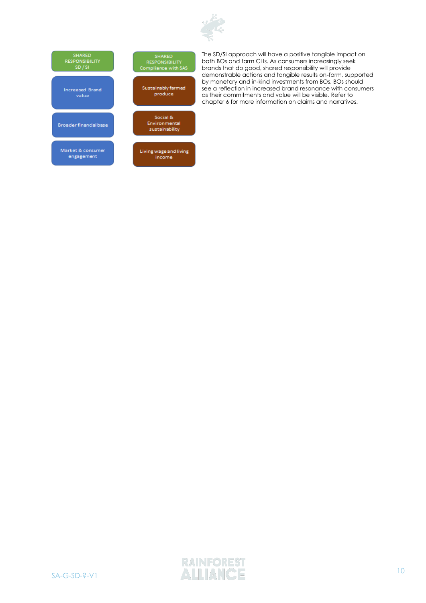



The SD/SI approach will have a positive tangible impact on both BOs and farm CHs. As consumers increasingly seek brands that do good, shared responsibility will provide demonstrable actions and tangible results on-farm, supported by monetary and in-kind investments from BOs. BOs should see a reflection in increased brand resonance with consumers as their commitments and value will be visible. Refer to chapter 6 for more information on claims and narratives.

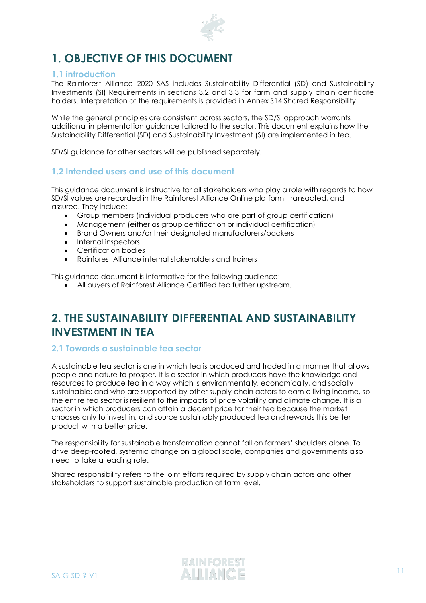

# <span id="page-10-0"></span>**1. OBJECTIVE OF THIS DOCUMENT**

### <span id="page-10-1"></span>**1.1 introduction**

The Rainforest Alliance 2020 SAS includes Sustainability Differential (SD) and Sustainability Investments (SI) Requirements in sections 3.2 and 3.3 for farm and supply chain certificate holders. Interpretation of the requirements is provided in Annex S14 Shared Responsibility.

While the general principles are consistent across sectors, the SD/SI approach warrants additional implementation guidance tailored to the sector. This document explains how the Sustainability Differential (SD) and Sustainability Investment (SI) are implemented in tea.

SD/SI guidance for other sectors will be published separately.

### <span id="page-10-2"></span>**1.2 Intended users and use of this document**

This guidance document is instructive for all stakeholders who play a role with regards to how SD/SI values are recorded in the Rainforest Alliance Online platform, transacted, and assured. They include:

- Group members (individual producers who are part of group certification)
- Management (either as group certification or individual certification)
- Brand Owners and/or their designated manufacturers/packers
- Internal inspectors
- Certification bodies
- Rainforest Alliance internal stakeholders and trainers

This guidance document is informative for the following audience:

• All buyers of Rainforest Alliance Certified tea further upstream.

# <span id="page-10-3"></span>**2. THE SUSTAINABILITY DIFFERENTIAL AND SUSTAINABILITY INVESTMENT IN TEA**

### <span id="page-10-4"></span>**2.1 Towards a sustainable tea sector**

A sustainable tea sector is one in which tea is produced and traded in a manner that allows people and nature to prosper. It is a sector in which producers have the knowledge and resources to produce tea in a way which is environmentally, economically, and socially sustainable; and who are supported by other supply chain actors to earn a living income, so the entire tea sector is resilient to the impacts of price volatility and climate change. It is a sector in which producers can attain a decent price for their tea because the market chooses only to invest in, and source sustainably produced tea and rewards this better product with a better price.

The responsibility for sustainable transformation cannot fall on farmers' shoulders alone. To drive deep-rooted, systemic change on a global scale, companies and governments also need to take a leading role.

Shared responsibility refers to the joint efforts required by supply chain actors and other stakeholders to support sustainable production at farm level.

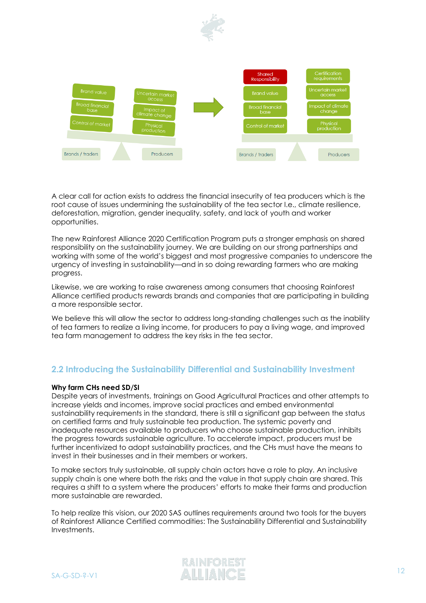



A clear call for action exists to address the financial insecurity of tea producers which is the root cause of issues undermining the sustainability of the tea sector I.e., climate resilience, deforestation, migration, gender inequality, safety, and lack of youth and worker opportunities.

The new Rainforest Alliance 2020 Certification Program puts a stronger emphasis on shared responsibility on the sustainability journey. We are building on our strong partnerships and working with some of the world's biggest and most progressive companies to underscore the urgency of investing in sustainability––and in so doing rewarding farmers who are making progress.

Likewise, we are working to raise awareness among consumers that choosing Rainforest Alliance certified products rewards brands and companies that are participating in building a more responsible sector.

We believe this will allow the sector to address long-standing challenges such as the inability of tea farmers to realize a living income, for producers to pay a living wage, and improved tea farm management to address the key risks in the tea sector.

## <span id="page-11-0"></span>**2.2 Introducing the Sustainability Differential and Sustainability Investment**

#### **Why farm CHs need SD/SI**

Despite years of investments, trainings on Good Agricultural Practices and other attempts to increase yields and incomes, improve social practices and embed environmental sustainability requirements in the standard, there is still a significant gap between the status on certified farms and truly sustainable tea production. The systemic poverty and inadequate resources available to producers who choose sustainable production, inhibits the progress towards sustainable agriculture. To accelerate impact, producers must be further incentivized to adopt sustainability practices, and the CHs must have the means to invest in their businesses and in their members or workers.

To make sectors truly sustainable, all supply chain actors have a role to play. An inclusive supply chain is one where both the risks and the value in that supply chain are shared. This requires a shift to a system where the producers' efforts to make their farms and production more sustainable are rewarded.

To help realize this vision, our 2020 SAS outlines requirements around two tools for the buyers of Rainforest Alliance Certified commodities: The Sustainability Differential and Sustainability Investments.

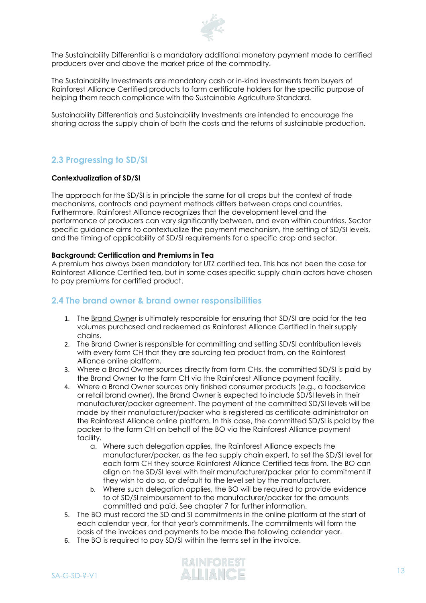

The Sustainability Differential is a mandatory additional monetary payment made to certified producers over and above the market price of the commodity.

The Sustainability Investments are mandatory cash or in-kind investments from buyers of Rainforest Alliance Certified products to farm certificate holders for the specific purpose of helping them reach compliance with the Sustainable Agriculture Standard.

Sustainability Differentials and Sustainability Investments are intended to encourage the sharing across the supply chain of both the costs and the returns of sustainable production.

### <span id="page-12-0"></span>**2.3 Progressing to SD/SI**

#### **Contextualization of SD/SI**

The approach for the SD/SI is in principle the same for all crops but the context of trade mechanisms, contracts and payment methods differs between crops and countries. Furthermore, Rainforest Alliance recognizes that the development level and the performance of producers can vary significantly between, and even within countries. Sector specific guidance aims to contextualize the payment mechanism, the setting of SD/SI levels, and the timing of applicability of SD/SI requirements for a specific crop and sector.

#### **Background: Certification and Premiums in Tea**

A premium has always been mandatory for UTZ certified tea. This has not been the case for Rainforest Alliance Certified tea, but in some cases specific supply chain actors have chosen to pay premiums for certified product.

#### <span id="page-12-1"></span>**2.4 The brand owner & brand owner responsibilities**

- 1. The Brand Owner is ultimately responsible for ensuring that SD/SI are paid for the tea volumes purchased and redeemed as Rainforest Alliance Certified in their supply chains.
- 2. The Brand Owner is responsible for committing and setting SD/SI contribution levels with every farm CH that they are sourcing tea product from, on the Rainforest Alliance online platform.
- 3. Where a Brand Owner sources directly from farm CHs, the committed SD/SI is paid by the Brand Owner to the farm CH via the Rainforest Alliance payment facility.
- 4. Where a Brand Owner sources only finished consumer products (e.g., a foodservice or retail brand owner), the Brand Owner is expected to include SD/SI levels in their manufacturer/packer agreement. The payment of the committed SD/SI levels will be made by their manufacturer/packer who is registered as certificate administrator on the Rainforest Alliance online platform. In this case, the committed SD/SI is paid by the packer to the farm CH on behalf of the BO via the Rainforest Alliance payment facility.
	- a. Where such delegation applies, the Rainforest Alliance expects the manufacturer/packer, as the tea supply chain expert, to set the SD/SI level for each farm CH they source Rainforest Alliance Certified teas from. The BO can align on the SD/SI level with their manufacturer/packer prior to commitment if they wish to do so, or default to the level set by the manufacturer.
	- b. Where such delegation applies, the BO will be required to provide evidence to of SD/SI reimbursement to the manufacturer/packer for the amounts committed and paid. See chapter 7 for further information.
- 5. The BO must record the SD and SI commitments in the online platform at the start of each calendar year, for that year's commitments. The commitments will form the basis of the invoices and payments to be made the following calendar year.
- 6. The BO is required to pay SD/SI within the terms set in the invoice.

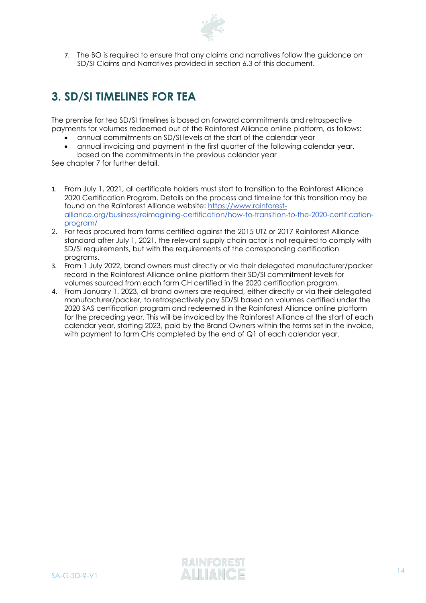

7. The BO is required to ensure that any claims and narratives follow the guidance on SD/SI Claims and Narratives provided in section 6.3 of this document.

# <span id="page-13-0"></span>**3. SD/SI TIMELINES FOR TEA**

The premise for tea SD/SI timelines is based on forward commitments and retrospective payments for volumes redeemed out of the Rainforest Alliance online platform, as follows:

- annual commitments on SD/SI levels at the start of the calendar year
- annual invoicing and payment in the first quarter of the following calendar year,
- based on the commitments in the previous calendar year See chapter 7 for further detail.

- 1. From July 1, 2021, all certificate holders must start to transition to the Rainforest Alliance 2020 Certification Program. Details on the process and timeline for this transition may be found on the Rainforest Alliance website: [https://www.rainforest](https://www.rainforest-alliance.org/business/reimagining-certification/how-to-transition-to-the-2020-certification-program/)[alliance.org/business/reimagining-certification/how-to-transition-to-the-2020-certification](https://www.rainforest-alliance.org/business/reimagining-certification/how-to-transition-to-the-2020-certification-program/)[program/](https://www.rainforest-alliance.org/business/reimagining-certification/how-to-transition-to-the-2020-certification-program/)
- 2. For teas procured from farms certified against the 2015 UTZ or 2017 Rainforest Alliance standard after July 1, 2021, the relevant supply chain actor is not required to comply with SD/SI requirements, but with the requirements of the corresponding certification programs.
- 3. From 1 July 2022, brand owners must directly or via their delegated manufacturer/packer record in the Rainforest Alliance online platform their SD/SI commitment levels for volumes sourced from each farm CH certified in the 2020 certification program.
- <span id="page-13-1"></span>4. From January 1, 2023, all brand owners are required, either directly or via their delegated manufacturer/packer, to retrospectively pay SD/SI based on volumes certified under the 2020 SAS certification program and redeemed in the Rainforest Alliance online platform for the preceding year. This will be invoiced by the Rainforest Alliance at the start of each calendar year, starting 2023, paid by the Brand Owners within the terms set in the invoice, with payment to farm CHs completed by the end of Q1 of each calendar year.

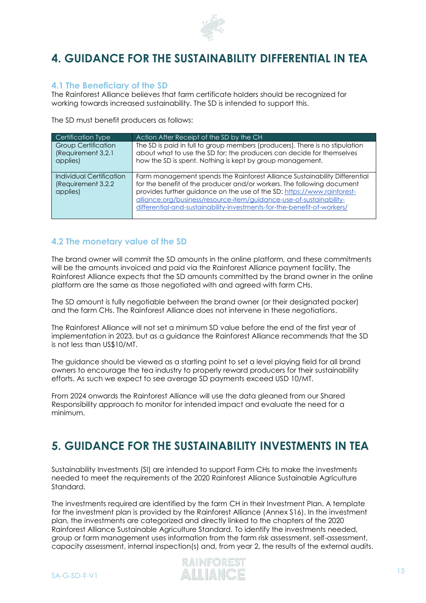

# **4. GUIDANCE FOR THE SUSTAINABILITY DIFFERENTIAL IN TEA**

### <span id="page-14-0"></span>**4.1 The Beneficiary of the SD**

The Rainforest Alliance believes that farm certificate holders should be recognized for working towards increased sustainability. The SD is intended to support this.

The SD must benefit producers as follows:

| Certification Type                                           | Action After Receipt of the SD by the CH                                                                                                                                                                                                                                                                                                                                          |
|--------------------------------------------------------------|-----------------------------------------------------------------------------------------------------------------------------------------------------------------------------------------------------------------------------------------------------------------------------------------------------------------------------------------------------------------------------------|
| <b>Group Certification</b><br>(Requirement 3.2.1<br>applies) | The SD is paid in full to group members (producers). There is no stipulation<br>about what to use the SD for; the producers can decide for themselves<br>how the SD is spent. Nothing is kept by group management.                                                                                                                                                                |
| Individual Certification<br>(Requirement 3.2.2)<br>applies)  | Farm management spends the Rainforest Alliance Sustainability Differential<br>for the benefit of the producer and/or workers. The following document<br>provides further guidance on the use of the SD: https://www.rainforest-<br>alliance.org/business/resource-item/auidance-use-of-sustainability-<br>differential-and-sustainability-investments-for-the-benefit-of-workers/ |

### <span id="page-14-1"></span>**4.2 The monetary value of the SD**

The brand owner will commit the SD amounts in the online platform, and these commitments will be the amounts invoiced and paid via the Rainforest Alliance payment facility. The Rainforest Alliance expects that the SD amounts committed by the brand owner in the online platform are the same as those negotiated with and agreed with farm CHs.

The SD amount is fully negotiable between the brand owner (or their designated packer) and the farm CHs. The Rainforest Alliance does not intervene in these negotiations.

The Rainforest Alliance will not set a minimum SD value before the end of the first year of implementation in 2023, but as a guidance the Rainforest Alliance recommends that the SD is not less than US\$10/MT.

The guidance should be viewed as a starting point to set a level playing field for all brand owners to encourage the tea industry to properly reward producers for their sustainability efforts. As such we expect to see average SD payments exceed USD 10/MT.

From 2024 onwards the Rainforest Alliance will use the data gleaned from our Shared Responsibility approach to monitor for intended impact and evaluate the need for a minimum.

# <span id="page-14-2"></span>**5. GUIDANCE FOR THE SUSTAINABILITY INVESTMENTS IN TEA**

Sustainability Investments (SI) are intended to support Farm CHs to make the investments needed to meet the requirements of the 2020 Rainforest Alliance Sustainable Agriculture Standard.

The investments required are identified by the farm CH in their Investment Plan. A template for the investment plan is provided by the Rainforest Alliance (Annex S16). In the investment plan, the investments are categorized and directly linked to the chapters of the 2020 Rainforest Alliance Sustainable Agriculture Standard. To identify the investments needed, group or farm management uses information from the farm risk assessment, self-assessment, capacity assessment, internal inspection(s) and, from year 2, the results of the external audits.

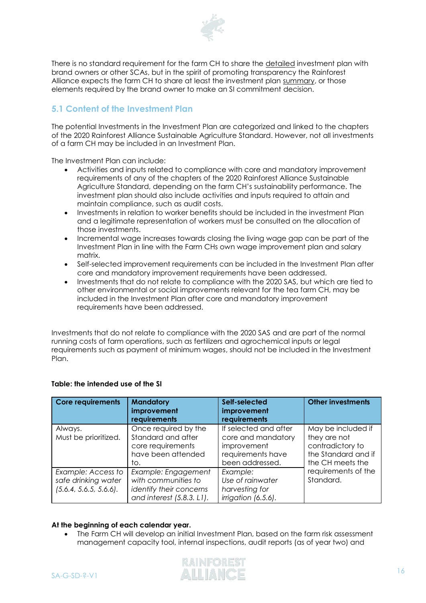

There is no standard requirement for the farm CH to share the detailed investment plan with brand owners or other SCAs, but in the spirit of promoting transparency the Rainforest Alliance expects the farm CH to share at least the investment plan summary, or those elements required by the brand owner to make an SI commitment decision.

## <span id="page-15-0"></span>**5.1 Content of the Investment Plan**

The potential Investments in the Investment Plan are categorized and linked to the chapters of the 2020 Rainforest Alliance Sustainable Agriculture Standard. However, not all investments of a farm CH may be included in an Investment Plan.

The Investment Plan can include:

- Activities and inputs related to compliance with core and mandatory improvement requirements of any of the chapters of the 2020 Rainforest Alliance Sustainable Agriculture Standard, depending on the farm CH's sustainability performance. The investment plan should also include activities and inputs required to attain and maintain compliance, such as audit costs.
- Investments in relation to worker benefits should be included in the investment Plan and a legitimate representation of workers must be consulted on the allocation of those investments.
- Incremental wage increases towards closing the living wage gap can be part of the Investment Plan in line with the Farm CHs own wage improvement plan and salary matrix.
- Self-selected improvement requirements can be included in the Investment Plan after core and mandatory improvement requirements have been addressed.
- Investments that do not relate to compliance with the 2020 SAS, but which are tied to other environmental or social improvements relevant for the tea farm CH, may be included in the Investment Plan after core and mandatory improvement requirements have been addressed.

Investments that do not relate to compliance with the 2020 SAS and are part of the normal running costs of farm operations, such as fertilizers and agrochemical inputs or legal requirements such as payment of minimum wages, should not be included in the Investment Plan.

| <b>Core requirements</b>                                            | <b>Mandatory</b><br>improvement<br>requirements                                                       | Self-selected<br>improvement<br>requirements                                                       | <b>Other investments</b>                                                                          |
|---------------------------------------------------------------------|-------------------------------------------------------------------------------------------------------|----------------------------------------------------------------------------------------------------|---------------------------------------------------------------------------------------------------|
| Always.<br>Must be prioritized.                                     | Once required by the<br>Standard and after<br>core requirements<br>have been attended<br>to.          | If selected and after<br>core and mandatory<br>improvement<br>requirements have<br>been addressed. | May be included if<br>they are not<br>contradictory to<br>the Standard and if<br>the CH meets the |
| Example: Access to<br>safe drinking water<br>(5.6.4, 5.6.5, 5.6.6). | Example: Engagement<br>with communities to<br>identify their concerns<br>and interest $(5.8.3. L1)$ . | Example:<br>Use of rainwater<br>harvesting for<br>irrigation (6.5.6).                              | requirements of the<br>Standard.                                                                  |

#### **Table: the intended use of the SI**

#### **At the beginning of each calendar year.**

• The Farm CH will develop an initial Investment Plan, based on the farm risk assessment management capacity tool, internal inspections, audit reports (as of year two) and

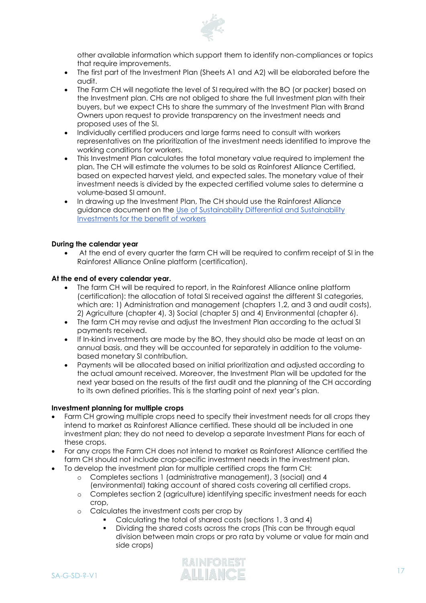

other available information which support them to identify non-compliances or topics that require improvements.

- The first part of the Investment Plan (Sheets A1 and A2) will be elaborated before the audit.
- The Farm CH will negotiate the level of SI required with the BO (or packer) based on the Investment plan. CHs are not obliged to share the full Investment plan with their buyers, but we expect CHs to share the summary of the Investment Plan with Brand Owners upon request to provide transparency on the investment needs and proposed uses of the SI.
- Individually certified producers and large farms need to consult with workers representatives on the prioritization of the investment needs identified to improve the working conditions for workers.
- This Investment Plan calculates the total monetary value required to implement the plan. The CH will estimate the volumes to be sold as Rainforest Alliance Certified, based on expected harvest yield, and expected sales. The monetary value of their investment needs is divided by the expected certified volume sales to determine a volume-based SI amount.
- In drawing up the Investment Plan, The CH should use the Rainforest Alliance guidance document on the Use [of Sustainability Differential and Sustainability](https://www.rainforest-alliance.org/business/resource-item/guidance-use-of-sustainability-differential-and-sustainability-investments-for-the-benefit-of-workers/)  [Investments for the benefit of workers](https://www.rainforest-alliance.org/business/resource-item/guidance-use-of-sustainability-differential-and-sustainability-investments-for-the-benefit-of-workers/)

#### **During the calendar year**

• At the end of every quarter the farm CH will be required to confirm receipt of SI in the Rainforest Alliance Online platform (certification).

#### **At the end of every calendar year.**

- The farm CH will be required to report, in the Rainforest Alliance online platform (certification): the allocation of total SI received against the different SI categories, which are: 1) Administration and management (chapters 1,2, and 3 and audit costs), 2) Agriculture (chapter 4), 3) Social (chapter 5) and 4) Environmental (chapter 6).
- The farm CH may revise and adjust the Investment Plan according to the actual SI payments received.
- If In-kind investments are made by the BO, they should also be made at least on an annual basis, and they will be accounted for separately in addition to the volumebased monetary SI contribution.
- Payments will be allocated based on initial prioritization and adjusted according to the actual amount received. Moreover, the Investment Plan will be updated for the next year based on the results of the first audit and the planning of the CH according to its own defined priorities. This is the starting point of next year's plan.

#### **Investment planning for multiple crops**

- Farm CH growing multiple crops need to specify their investment needs for all crops they intend to market as Rainforest Alliance certified. These should all be included in one investment plan; they do not need to develop a separate Investment Plans for each of these crops.
- For any crops the Farm CH does not intend to market as Rainforest Alliance certified the farm CH should not include crop-specific investment needs in the investment plan.
- To develop the investment plan for multiple certified crops the farm CH:
	- o Completes sections 1 (administrative management), 3 (social) and 4 (environmental) taking account of shared costs covering all certified crops.
	- o Completes section 2 (agriculture) identifying specific investment needs for each crop,
	- o Calculates the investment costs per crop by
		- Calculating the total of shared costs (sections 1, 3 and 4)
		- Dividing the shared costs across the crops (This can be through equal division between main crops or pro rata by volume or value for main and side crops)

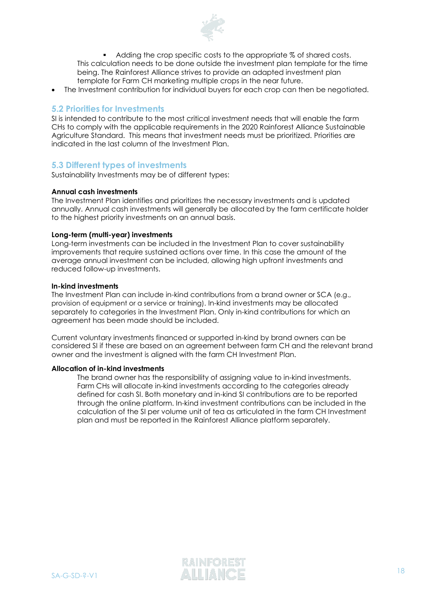

■ Adding the crop specific costs to the appropriate % of shared costs. This calculation needs to be done outside the investment plan template for the time being. The Rainforest Alliance strives to provide an adapted investment plan template for Farm CH marketing multiple crops in the near future.

• The Investment contribution for individual buyers for each crop can then be negotiated.

#### <span id="page-17-0"></span>**5.2 Priorities for Investments**

SI is intended to contribute to the most critical investment needs that will enable the farm CHs to comply with the applicable requirements in the 2020 Rainforest Alliance Sustainable Agriculture Standard. This means that investment needs must be prioritized. Priorities are indicated in the last column of the Investment Plan.

#### <span id="page-17-1"></span>**5.3 Different types of investments**

Sustainability Investments may be of different types:

#### **Annual cash investments**

The Investment Plan identifies and prioritizes the necessary investments and is updated annually. Annual cash investments will generally be allocated by the farm certificate holder to the highest priority investments on an annual basis.

#### **Long-term (multi-year) investments**

Long-term investments can be included in the Investment Plan to cover sustainability improvements that require sustained actions over time. In this case the amount of the average annual investment can be included, allowing high upfront investments and reduced follow-up investments.

#### **In-kind investments**

The Investment Plan can include in-kind contributions from a brand owner or SCA (e.g., provision of equipment or a service or training). In-kind investments may be allocated separately to categories in the Investment Plan. Only in-kind contributions for which an agreement has been made should be included.

Current voluntary investments financed or supported in-kind by brand owners can be considered SI if these are based on an agreement between farm CH and the relevant brand owner and the investment is aligned with the farm CH Investment Plan.

#### **Allocation of in-kind investments**

<span id="page-17-2"></span>The brand owner has the responsibility of assigning value to in-kind investments. Farm CHs will allocate in-kind investments according to the categories already defined for cash SI. Both monetary and in-kind SI contributions are to be reported through the online platform. In-kind investment contributions can be included in the calculation of the SI per volume unit of tea as articulated in the farm CH Investment plan and must be reported in the Rainforest Alliance platform separately.

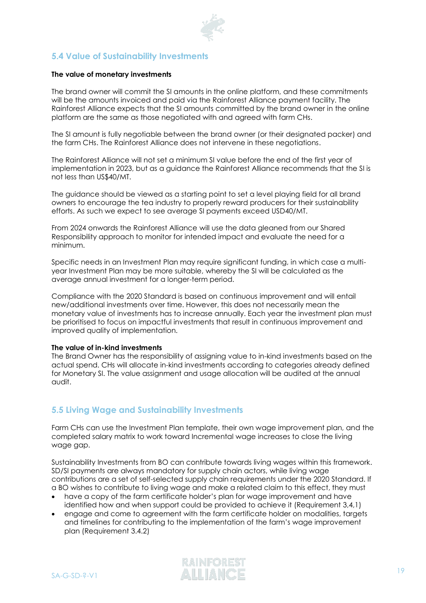

# **5.4 Value of Sustainability Investments**

#### **The value of monetary investments**

The brand owner will commit the SI amounts in the online platform, and these commitments will be the amounts invoiced and paid via the Rainforest Alliance payment facility. The Rainforest Alliance expects that the SI amounts committed by the brand owner in the online platform are the same as those negotiated with and agreed with farm CHs.

The SI amount is fully negotiable between the brand owner (or their designated packer) and the farm CHs. The Rainforest Alliance does not intervene in these negotiations.

The Rainforest Alliance will not set a minimum SI value before the end of the first year of implementation in 2023, but as a guidance the Rainforest Alliance recommends that the SI is not less than US\$40/MT.

The guidance should be viewed as a starting point to set a level playing field for all brand owners to encourage the tea industry to properly reward producers for their sustainability efforts. As such we expect to see average SI payments exceed USD40/MT.

From 2024 onwards the Rainforest Alliance will use the data gleaned from our Shared Responsibility approach to monitor for intended impact and evaluate the need for a minimum.

Specific needs in an Investment Plan may require significant funding, in which case a multiyear Investment Plan may be more suitable, whereby the SI will be calculated as the average annual investment for a longer-term period.

Compliance with the 2020 Standard is based on continuous improvement and will entail new/additional investments over time. However, this does not necessarily mean the monetary value of investments has to increase annually. Each year the investment plan must be prioritised to focus on impactful investments that result in continuous improvement and improved quality of implementation.

#### **The value of in-kind investments**

The Brand Owner has the responsibility of assigning value to in-kind investments based on the actual spend. CHs will allocate in-kind investments according to categories already defined for Monetary SI. The value assignment and usage allocation will be audited at the annual audit.

## <span id="page-18-0"></span>**5.5 Living Wage and Sustainability Investments**

Farm CHs can use the Investment Plan template, their own wage improvement plan, and the completed salary matrix to work toward Incremental wage increases to close the living wage gap.

Sustainability Investments from BO can contribute towards living wages within this framework. SD/SI payments are always mandatory for supply chain actors, while living wage contributions are a set of self-selected supply chain requirements under the 2020 Standard. If a BO wishes to contribute to living wage and make a related claim to this effect, they must

- have a copy of the farm certificate holder's plan for wage improvement and have identified how and when support could be provided to achieve it (Requirement 3,4,1)
- engage and come to agreement with the farm certificate holder on modalities, targets and timelines for contributing to the implementation of the farm's wage improvement plan (Requirement 3.4.2)

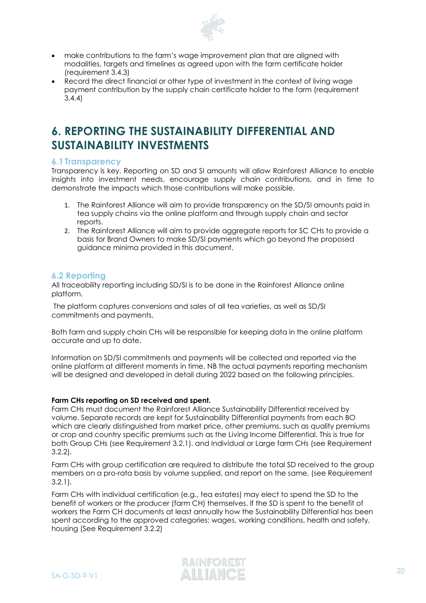

- make contributions to the farm's wage improvement plan that are aligned with modalities, targets and timelines as agreed upon with the farm certificate holder (requirement 3.4.3)
- Record the direct financial or other type of investment in the context of living wage payment contribution by the supply chain certificate holder to the farm (requirement 3.4.4)

# <span id="page-19-0"></span>**6. REPORTING THE SUSTAINABILITY DIFFERENTIAL AND SUSTAINABILITY INVESTMENTS**

#### <span id="page-19-1"></span>**6.1 Transparency**

Transparency is key. Reporting on SD and SI amounts will allow Rainforest Alliance to enable insights into investment needs, encourage supply chain contributions, and in time to demonstrate the impacts which those contributions will make possible.

- 1. The Rainforest Alliance will aim to provide transparency on the SD/SI amounts paid in tea supply chains via the online platform and through supply chain and sector reports.
- 2. The Rainforest Alliance will aim to provide aggregate reports for SC CHs to provide a basis for Brand Owners to make SD/SI payments which go beyond the proposed guidance minima provided in this document.

#### <span id="page-19-2"></span>**6.2 Reporting**

All traceability reporting including SD/SI is to be done in the Rainforest Alliance online platform.

The platform captures conversions and sales of all tea varieties, as well as SD/SI commitments and payments.

Both farm and supply chain CHs will be responsible for keeping data in the online platform accurate and up to date.

Information on SD/SI commitments and payments will be collected and reported via the online platform at different moments in time. NB the actual payments reporting mechanism will be designed and developed in detail during 2022 based on the following principles.

#### **Farm CHs reporting on SD received and spent.**

Farm CHs must document the Rainforest Alliance Sustainability Differential received by volume. Separate records are kept for Sustainability Differential payments from each BO which are clearly distinguished from market price, other premiums, such as quality premiums or crop and country specific premiums such as the Living Income Differential. This is true for both Group CHs (see Requirement 3.2.1). and Individual or Large farm CHs (see Requirement 3.2.2).

Farm CHs with group certification are required to distribute the total SD received to the group members on a pro-rata basis by volume supplied, and report on the same, (see Requirement 3.2.1).

Farm CHs with individual certification (e.g., tea estates) may elect to spend the SD to the benefit of workers or the producer (farm CH) themselves. If the SD is spent to the benefit of workers the Farm CH documents at least annually how the Sustainability Differential has been spent according to the approved categories: wages, working conditions, health and safety, housing (See Requirement 3.2.2)

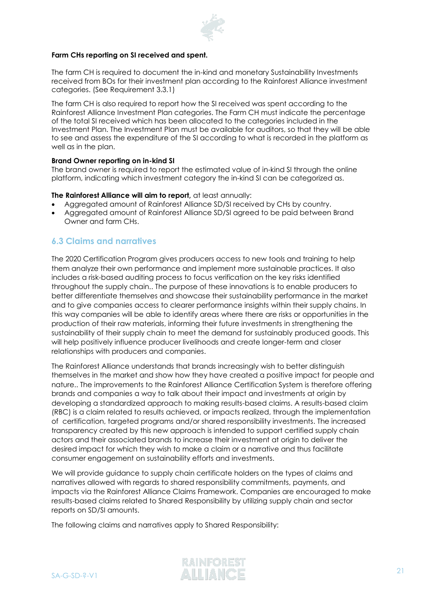

#### **Farm CHs reporting on SI received and spent.**

The farm CH is required to document the in-kind and monetary Sustainability Investments received from BOs for their investment plan according to the Rainforest Alliance investment categories. (See Requirement 3.3.1)

The farm CH is also required to report how the SI received was spent according to the Rainforest Alliance Investment Plan categories. The Farm CH must indicate the percentage of the total SI received which has been allocated to the categories included in the Investment Plan. The Investment Plan must be available for auditors, so that they will be able to see and assess the expenditure of the SI according to what is recorded in the platform as well as in the plan.

#### **Brand Owner reporting on in-kind SI**

The brand owner is required to report the estimated value of in-kind SI through the online platform, indicating which investment category the in-kind SI can be categorized as.

#### **The Rainforest Alliance will aim to report,** at least annually:

- Aggregated amount of Rainforest Alliance SD/SI received by CHs by country.
- Aggregated amount of Rainforest Alliance SD/SI agreed to be paid between Brand Owner and farm CHs.

### <span id="page-20-0"></span>**6.3 Claims and narratives**

The 2020 Certification Program gives producers access to new tools and training to help them analyze their own performance and implement more sustainable practices. It also includes a risk-based auditing process to focus verification on the key risks identified throughout the supply chain.. The purpose of these innovations is to enable producers to better differentiate themselves and showcase their sustainability performance in the market and to give companies access to clearer performance insights within their supply chains. In this way companies will be able to identify areas where there are risks or opportunities in the production of their raw materials, informing their future investments in strengthening the sustainability of their supply chain to meet the demand for sustainably produced goods. This will help positively influence producer livelihoods and create longer-term and closer relationships with producers and companies.

The Rainforest Alliance understands that brands increasingly wish to better distinguish themselves in the market and show how they have created a positive impact for people and nature.. The improvements to the Rainforest Alliance Certification System is therefore offering brands and companies a way to talk about their impact and investments at origin by developing a standardized approach to making results-based claims. A results-based claim (RBC) is a claim related to results achieved, or impacts realized, through the implementation of certification, targeted programs and/or shared responsibility investments. The increased transparency created by this new approach is intended to support certified supply chain actors and their associated brands to increase their investment at origin to deliver the desired impact for which they wish to make a claim or a narrative and thus facilitate consumer engagement on sustainability efforts and investments.

We will provide guidance to supply chain certificate holders on the types of claims and narratives allowed with regards to shared responsibility commitments, payments, and impacts via the Rainforest Alliance Claims Framework. Companies are encouraged to make results-based claims related to Shared Responsibility by utilizing supply chain and sector reports on SD/SI amounts.

The following claims and narratives apply to Shared Responsibility:

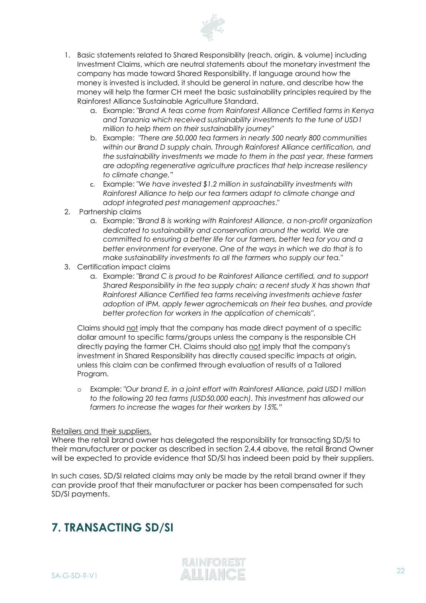

- 1. Basic statements related to Shared Responsibility (reach, origin, & volume) including Investment Claims, which are neutral statements about the monetary investment the company has made toward Shared Responsibility. If language around how the money is invested is included, it should be general in nature, and describe how the money will help the farmer CH meet the basic sustainability principles required by the Rainforest Alliance Sustainable Agriculture Standard.
	- a. Example: "*Brand A teas come from Rainforest Alliance Certified farms in Kenya and Tanzania which received sustainability investments to the tune of USD1 million to help them on their sustainability journey*"
	- b. Example: "*There are 50,000 tea farmers in nearly 500 nearly 800 communities within our Brand D supply chain. Through Rainforest Alliance certification, and the sustainability investments we made to them in the past year, these farmers are adopting regenerative agriculture practices that help increase resiliency to climate change.*"
	- c. Example: "*We have invested \$1.2 million in sustainability investments with Rainforest Alliance to help our tea farmers adapt to climate change and adopt integrated pest management approaches*."
- 2. Partnership claims
	- a. Example: "*Brand B is working with Rainforest Alliance, a non-profit organization dedicated to sustainability and conservation around the world. We are committed to ensuring a better life for our farmers, better tea for you and a better environment for everyone. One of the ways in which we do that is to make sustainability investments to all the farmers who supply our tea."*
- 3. Certification impact claims
	- a. Example: "*Brand C is proud to be Rainforest Alliance certified, and to support Shared Responsibility in the tea supply chain; a recent study X has shown that Rainforest Alliance Certified tea farms receiving investments achieve faster adoption of IPM, apply fewer agrochemicals on their tea bushes, and provide better protection for workers in the application of chemicals*".

Claims should not imply that the company has made direct payment of a specific dollar amount to specific farms/groups unless the company is the responsible CH directly paying the farmer CH. Claims should also not imply that the company's investment in Shared Responsibility has directly caused specific impacts at origin, unless this claim can be confirmed through evaluation of results of a Tailored Program.

o Example: "*Our brand E, in a joint effort with Rainforest Alliance, paid USD1 million to the following 20 tea farms (USD50,000 each). This investment has allowed our farmers to increase the wages for their workers by 15%."*

#### Retailers and their suppliers.

Where the retail brand owner has delegated the responsibility for transacting SD/SI to their manufacturer or packer as described in section 2.4.4 above, the retail Brand Owner will be expected to provide evidence that SD/SI has indeed been paid by their suppliers.

<span id="page-21-0"></span>In such cases, SD/SI related claims may only be made by the retail brand owner if they can provide proof that their manufacturer or packer has been compensated for such SD/SI payments.

# **7. TRANSACTING SD/SI**

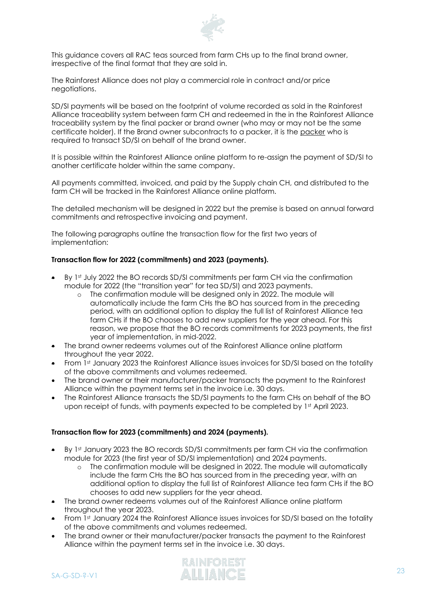

This guidance covers all RAC teas sourced from farm CHs up to the final brand owner, irrespective of the final format that they are sold in.

The Rainforest Alliance does not play a commercial role in contract and/or price negotiations.

SD/SI payments will be based on the footprint of volume recorded as sold in the Rainforest Alliance traceability system between farm CH and redeemed in the in the Rainforest Alliance traceability system by the final packer or brand owner (who may or may not be the same certificate holder). If the Brand owner subcontracts to a packer, it is the packer who is required to transact SD/SI on behalf of the brand owner.

It is possible within the Rainforest Alliance online platform to re-assign the payment of SD/SI to another certificate holder within the same company.

All payments committed, invoiced, and paid by the Supply chain CH, and distributed to the farm CH will be tracked in the Rainforest Alliance online platform.

The detailed mechanism will be designed in 2022 but the premise is based on annual forward commitments and retrospective invoicing and payment.

The following paragraphs outline the transaction flow for the first two years of implementation:

#### **Transaction flow for 2022 (commitments) and 2023 (payments).**

- By 1st July 2022 the BO records SD/SI commitments per farm CH via the confirmation module for 2022 (the "transition year" for tea SD/SI) and 2023 payments.
	- o The confirmation module will be designed only in 2022. The module will automatically include the farm CHs the BO has sourced from in the preceding period, with an additional option to display the full list of Rainforest Alliance tea farm CHs if the BO chooses to add new suppliers for the year ahead. For this reason, we propose that the BO records commitments for 2023 payments, the first year of implementation, in mid-2022.
- The brand owner redeems volumes out of the Rainforest Alliance online platform throughout the year 2022.
- From 1st January 2023 the Rainforest Alliance issues invoices for SD/SI based on the totality of the above commitments and volumes redeemed.
- The brand owner or their manufacturer/packer transacts the payment to the Rainforest Alliance within the payment terms set in the invoice i.e. 30 days.
- The Rainforest Alliance transacts the SD/SI payments to the farm CHs on behalf of the BO upon receipt of funds, with payments expected to be completed by 1st April 2023.

#### **Transaction flow for 2023 (commitments) and 2024 (payments).**

- By 1st January 2023 the BO records SD/SI commitments per farm CH via the confirmation module for 2023 (the first year of SD/SI implementation) and 2024 payments.
	- o The confirmation module will be designed in 2022. The module will automatically include the farm CHs the BO has sourced from in the preceding year, with an additional option to display the full list of Rainforest Alliance tea farm CHs if the BO chooses to add new suppliers for the year ahead.
- The brand owner redeems volumes out of the Rainforest Alliance online platform throughout the year 2023.
- From 1st January 2024 the Rainforest Alliance issues invoices for SD/SI based on the totality of the above commitments and volumes redeemed.
- The brand owner or their manufacturer/packer transacts the payment to the Rainforest Alliance within the payment terms set in the invoice i.e. 30 days.

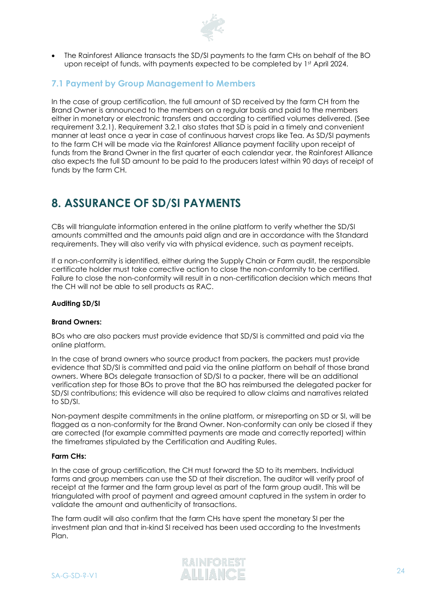

• The Rainforest Alliance transacts the SD/SI payments to the farm CHs on behalf of the BO upon receipt of funds, with payments expected to be completed by 1st April 2024.

## <span id="page-23-0"></span>**7.1 Payment by Group Management to Members**

In the case of group certification, the full amount of SD received by the farm CH from the Brand Owner is announced to the members on a regular basis and paid to the members either in monetary or electronic transfers and according to certified volumes delivered. (See requirement 3.2.1). Requirement 3.2.1 also states that SD is paid in a timely and convenient manner at least once a year in case of continuous harvest crops like Tea. As SD/SI payments to the farm CH will be made via the Rainforest Alliance payment facility upon receipt of funds from the Brand Owner in the first quarter of each calendar year, the Rainforest Alliance also expects the full SD amount to be paid to the producers latest within 90 days of receipt of funds by the farm CH.

# <span id="page-23-1"></span>**8. ASSURANCE OF SD/SI PAYMENTS**

CBs will triangulate information entered in the online platform to verify whether the SD/SI amounts committed and the amounts paid align and are in accordance with the Standard requirements. They will also verify via with physical evidence, such as payment receipts.

If a non-conformity is identified, either during the Supply Chain or Farm audit, the responsible certificate holder must take corrective action to close the non-conformity to be certified. Failure to close the non-conformity will result in a non-certification decision which means that the CH will not be able to sell products as RAC.

#### **Auditing SD/SI**

#### **Brand Owners:**

BOs who are also packers must provide evidence that SD/SI is committed and paid via the online platform.

In the case of brand owners who source product from packers, the packers must provide evidence that SD/SI is committed and paid via the online platform on behalf of those brand owners. Where BOs delegate transaction of SD/SI to a packer, there will be an additional verification step for those BOs to prove that the BO has reimbursed the delegated packer for SD/SI contributions; this evidence will also be required to allow claims and narratives related to SD/SI.

Non-payment despite commitments in the online platform, or misreporting on SD or SI, will be flagged as a non-conformity for the Brand Owner. Non-conformity can only be closed if they are corrected (for example committed payments are made and correctly reported) within the timeframes stipulated by the Certification and Auditing Rules.

#### **Farm CHs:**

In the case of group certification, the CH must forward the SD to its members. Individual farms and group members can use the SD at their discretion. The auditor will verify proof of receipt at the farmer and the farm group level as part of the farm group audit. This will be triangulated with proof of payment and agreed amount captured in the system in order to validate the amount and authenticity of transactions.

The farm audit will also confirm that the farm CHs have spent the monetary SI per the investment plan and that in-kind SI received has been used according to the Investments Plan.